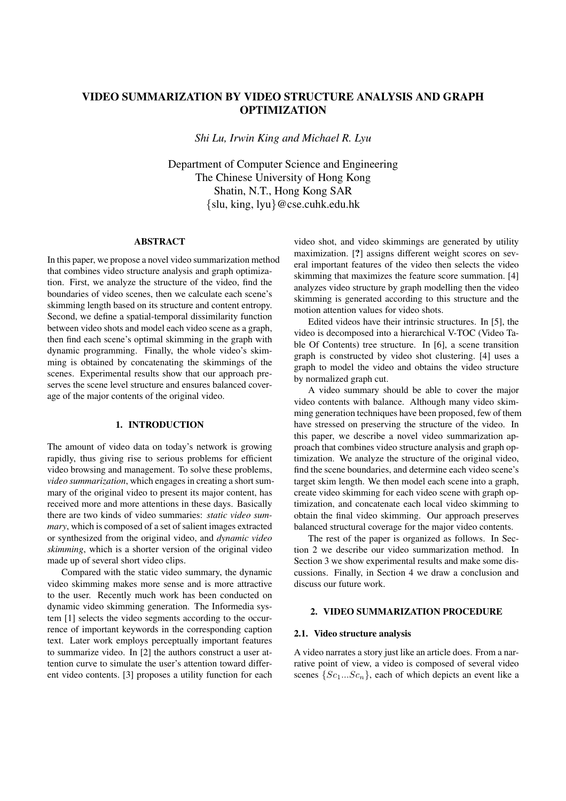# **VIDEO SUMMARIZATION BY VIDEO STRUCTURE ANALYSIS AND GRAPH OPTIMIZATION**

*Shi Lu, Irwin King and Michael R. Lyu*

Department of Computer Science and Engineering The Chinese University of Hong Kong Shatin, N.T., Hong Kong SAR {slu, king, lyu}@cse.cuhk.edu.hk

#### **ABSTRACT**

In this paper, we propose a novel video summarization method that combines video structure analysis and graph optimization. First, we analyze the structure of the video, find the boundaries of video scenes, then we calculate each scene's skimming length based on its structure and content entropy. Second, we define a spatial-temporal dissimilarity function between video shots and model each video scene as a graph, then find each scene's optimal skimming in the graph with dynamic programming. Finally, the whole video's skimming is obtained by concatenating the skimmings of the scenes. Experimental results show that our approach preserves the scene level structure and ensures balanced coverage of the major contents of the original video.

## **1. INTRODUCTION**

The amount of video data on today's network is growing rapidly, thus giving rise to serious problems for efficient video browsing and management. To solve these problems, *video summarization*, which engages in creating a short summary of the original video to present its major content, has received more and more attentions in these days. Basically there are two kinds of video summaries: *static video summary*, which is composed of a set of salient images extracted or synthesized from the original video, and *dynamic video skimming*, which is a shorter version of the original video made up of several short video clips.

Compared with the static video summary, the dynamic video skimming makes more sense and is more attractive to the user. Recently much work has been conducted on dynamic video skimming generation. The Informedia system [1] selects the video segments according to the occurrence of important keywords in the corresponding caption text. Later work employs perceptually important features to summarize video. In [2] the authors construct a user attention curve to simulate the user's attention toward different video contents. [3] proposes a utility function for each video shot, and video skimmings are generated by utility maximization. [**?**] assigns different weight scores on several important features of the video then selects the video skimming that maximizes the feature score summation. [4] analyzes video structure by graph modelling then the video skimming is generated according to this structure and the motion attention values for video shots.

Edited videos have their intrinsic structures. In [5], the video is decomposed into a hierarchical V-TOC (Video Table Of Contents) tree structure. In [6], a scene transition graph is constructed by video shot clustering. [4] uses a graph to model the video and obtains the video structure by normalized graph cut.

A video summary should be able to cover the major video contents with balance. Although many video skimming generation techniques have been proposed, few of them have stressed on preserving the structure of the video. In this paper, we describe a novel video summarization approach that combines video structure analysis and graph optimization. We analyze the structure of the original video, find the scene boundaries, and determine each video scene's target skim length. We then model each scene into a graph, create video skimming for each video scene with graph optimization, and concatenate each local video skimming to obtain the final video skimming. Our approach preserves balanced structural coverage for the major video contents.

The rest of the paper is organized as follows. In Section 2 we describe our video summarization method. In Section 3 we show experimental results and make some discussions. Finally, in Section 4 we draw a conclusion and discuss our future work.

# **2. VIDEO SUMMARIZATION PROCEDURE**

## **2.1. Video structure analysis**

A video narrates a story just like an article does. From a narrative point of view, a video is composed of several video scenes  $\{Sc_1...Sc_n\}$ , each of which depicts an event like a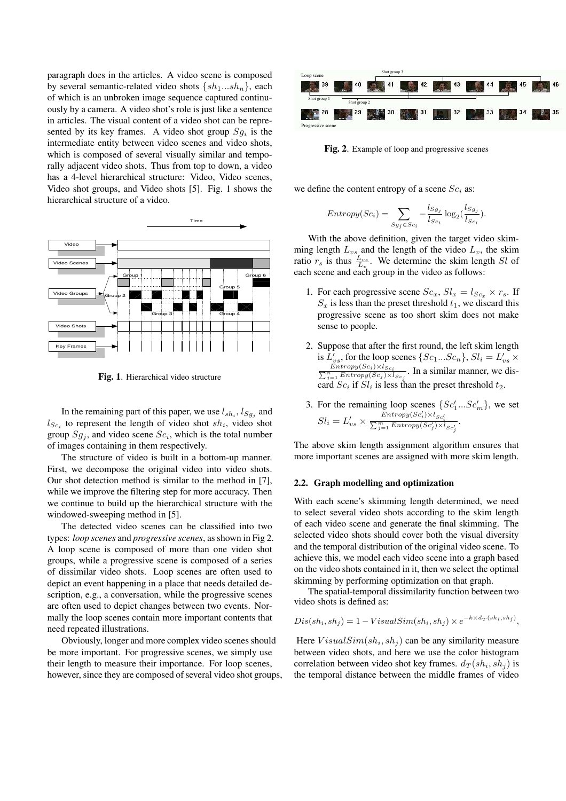paragraph does in the articles. A video scene is composed by several semantic-related video shots  $\{sh_1...sh_n\}$ , each of which is an unbroken image sequence captured continuously by a camera. A video shot's role is just like a sentence in articles. The visual content of a video shot can be represented by its key frames. A video shot group  $Sg_i$  is the intermediate entity between video scenes and video shots, which is composed of several visually similar and temporally adjacent video shots. Thus from top to down, a video has a 4-level hierarchical structure: Video, Video scenes, Video shot groups, and Video shots [5]. Fig. 1 shows the hierarchical structure of a video.



**Fig. 1**. Hierarchical video structure

In the remaining part of this paper, we use  $l_{sh_i}$ ,  $l_{Sg_j}$  and  $l_{Sc_i}$  to represent the length of video shot  $sh_i$ , video shot group  $Sg_j$ , and video scene  $Sc_i$ , which is the total number of images containing in them respectively.

The structure of video is built in a bottom-up manner. First, we decompose the original video into video shots. Our shot detection method is similar to the method in [7], while we improve the filtering step for more accuracy. Then we continue to build up the hierarchical structure with the windowed-sweeping method in [5].

The detected video scenes can be classified into two types: *loop scenes* and *progressive scenes*, asshown in Fig 2. A loop scene is composed of more than one video shot groups, while a progressive scene is composed of a series of dissimilar video shots. Loop scenes are often used to depict an event happening in a place that needs detailed description, e.g., a conversation, while the progressive scenes are often used to depict changes between two events. Normally the loop scenes contain more important contents that need repeated illustrations.

Obviously, longer and more complex video scenes should be more important. For progressive scenes, we simply use their length to measure their importance. For loop scenes, however, since they are composed of several video shot groups,



**Fig. 2**. Example of loop and progressive scenes

we define the content entropy of a scene  $Sc<sub>i</sub>$  as:

$$
Entropy(Sc_i) = \sum_{Sg_j \in Sc_i} -\frac{l_{Sg_j}}{l_{Sc_i}} \log_2(\frac{l_{Sg_j}}{l_{Sc_i}}).
$$

With the above definition, given the target video skimming length  $L_{vs}$  and the length of the video  $L_v$ , the skim ratio  $r_s$  is thus  $\frac{L_{vs}}{L_v}$ . We determine the skim length Sl of each scene and each group in the video as follows:

- 1. For each progressive scene  $Sc_x, Sl_x = l_{Sc_x} \times r_s$ . If  $S_x$  is less than the preset threshold  $t_1$ , we discard this progressive scene as too short skim does not make sense to people.
- 2. Suppose that after the first round, the left skim length is  $L'_{vs}$ , for the loop scenes  $\{Sc_1...Sc_n\}$ ,  $Sl_i = L'_{vs} \times$  $\frac{Entropy(Sc_i) \times I_{Sc_i}}{\sum_{j=1}^{n} Entropy(Sc_j) \times I_{Sc_j}}$ . In a similar manner, we discard  $Sc_i$  if  $Sl_i$  is less than the preset threshold  $t_2$ .
- 3. For the remaining loop scenes  $\{Sc'_1...Sc'_m\}$ , we set  $Sl_i = L'_{vs} \times \frac{Entropy(Sc'_i) \times l_{Sc'_i}}{\sum_{j=1}^{m} Entropy(Sc'_j) \times l_{Sc'_j}}.$

The above skim length assignment algorithm ensures that more important scenes are assigned with more skim length.

### **2.2. Graph modelling and optimization**

With each scene's skimming length determined, we need to select several video shots according to the skim length of each video scene and generate the final skimming. The selected video shots should cover both the visual diversity and the temporal distribution of the original video scene. To achieve this, we model each video scene into a graph based on the video shots contained in it, then we select the optimal skimming by performing optimization on that graph.

The spatial-temporal dissimilarity function between two video shots is defined as:

$$
Dis(shi, shj) = 1 - VisualSim(shi, shj) \times e^{-k \times d_T(shi, shj)},
$$

Here  $VisualSim(sh<sub>i</sub>, sh<sub>j</sub>)$  can be any similarity measure between video shots, and here we use the color histogram correlation between video shot key frames.  $d_T(sh_i, sh_j)$  is the temporal distance between the middle frames of video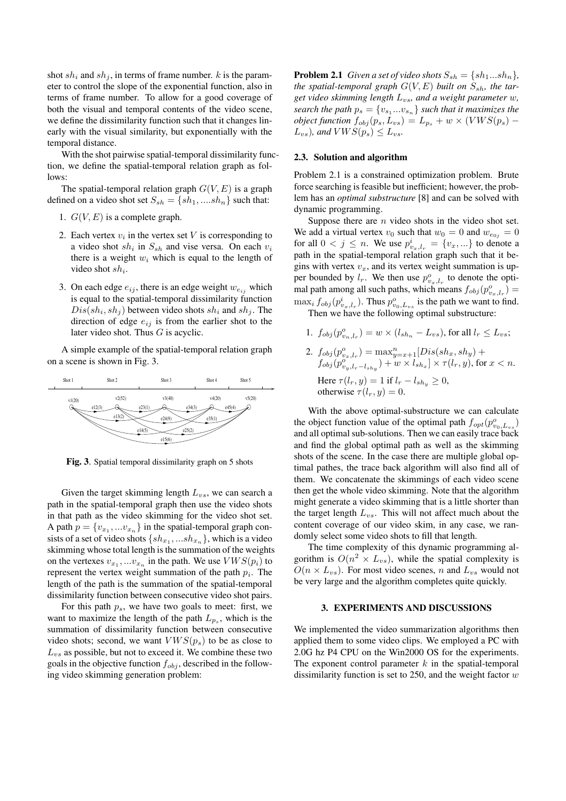shot  $sh_i$  and  $sh_j$ , in terms of frame number. k is the parameter to control the slope of the exponential function, also in terms of frame number. To allow for a good coverage of both the visual and temporal contents of the video scene, we define the dissimilarity function such that it changes linearly with the visual similarity, but exponentially with the temporal distance.

With the shot pairwise spatial-temporal dissimilarity function, we define the spatial-temporal relation graph as follows:

The spatial-temporal relation graph  $G(V, E)$  is a graph defined on a video shot set  $S_{sh} = \{sh_1, .... sh_n\}$  such that:

- 1.  $G(V, E)$  is a complete graph.
- 2. Each vertex  $v_i$  in the vertex set V is corresponding to a video shot  $sh_i$  in  $S_{sh}$  and vise versa. On each  $v_i$ there is a weight  $w_i$  which is equal to the length of video shot  $sh_i$ .
- 3. On each edge  $e_{ij}$ , there is an edge weight  $w_{e_{ij}}$  which is equal to the spatial-temporal dissimilarity function  $Dis(sh<sub>i</sub>, sh<sub>j</sub>)$  between video shots  $sh<sub>i</sub>$  and  $sh<sub>j</sub>$ . The direction of edge  $e_{ij}$  is from the earlier shot to the later video shot. Thus  $G$  is acyclic.

A simple example of the spatial-temporal relation graph on a scene is shown in Fig. 3.



**Fig. 3**. Spatial temporal dissimilarity graph on 5 shots

Given the target skimming length  $L_{vs}$ , we can search a path in the spatial-temporal graph then use the video shots in that path as the video skimming for the video shot set. A path  $p = \{v_{x_1}, \dots v_{x_n}\}\$ in the spatial-temporal graph consists of a set of video shots  $\{sh_{x_1},...sh_{x_n}\}$ , which is a video skimming whose total length is the summation of the weights on the vertexes  $v_{x_1},...v_{x_n}$  in the path. We use  $VWS(p_i)$  to represent the vertex weight summation of the path  $p_i$ . The length of the path is the summation of the spatial-temporal dissimilarity function between consecutive video shot pairs.

For this path  $p_s$ , we have two goals to meet: first, we want to maximize the length of the path  $L_{p_s}$ , which is the summation of dissimilarity function between consecutive video shots; second, we want  $VWS(p_s)$  to be as close to  $L_{vs}$  as possible, but not to exceed it. We combine these two goals in the objective function  $f_{obj}$ , described in the following video skimming generation problem:

**Problem 2.1** *Given a set of video shots*  $S_{sh} = \{sh_1...sh_n\}$ , *the spatial-temporal graph*  $G(V, E)$  *built on*  $S_{sh}$ *, the target video skimming length* Lvs*, and a weight parameter* w*,*  $s$ *earch the path*  $p_s = \{v_{s_1}...v_{s_n}\}$  such that it maximizes the *object* function  $f_{obj}(p_s, L_{vs}) = L_{p_s} + w \times (VWS(p_s) L_{vs}$ ), and  $VWS(p_s) \leq L_{vs}$ .

## **2.3. Solution and algorithm**

Problem 2.1 is a constrained optimization problem. Brute force searching is feasible but inefficient; however, the problem has an *optimal substructure* [8] and can be solved with dynamic programming.

Suppose there are  $n$  video shots in the video shot set. We add a virtual vertex  $v_0$  such that  $w_0 = 0$  and  $w_{e_{0j}} = 0$ for all  $0 < j \leq n$ . We use  $p_{v_x,l_r}^i = \{v_x,...\}$  to denote a path in the spatial-temporal relation graph such that it begins with vertex  $v_x$ , and its vertex weight summation is upper bounded by  $l_r$ . We then use  $p_{v_x,l_r}^o$  to denote the optimal path among all such paths, which means  $f_{obj}(p_{v_x,l_r}^o)$  =  $\max_i f_{obj}(p_{v_x,l_r}^i)$ . Thus  $p_{v_0,L_{vs}}^o$  is the path we want to find.

Then we have the following optimal substructure:

1. 
$$
f_{obj}(p_{v_n,l_r}^o) = w \times (l_{sh_n} - L_{vs}),
$$
 for all  $l_r \le L_{vs};$   
\n2.  $f_{obj}(p_{v_x,l_r}^o) = \max_{y=x+1}^n [Dis(sh_x, sh_y) +$   
\n $f_{obj}(p_{v_y,l_r-l_{sh_y}}^o) + w \times l_{sh_x}] \times \tau(l_r, y),$  for  $x < n$ .

Here 
$$
\tau(l_r, y) = 1
$$
 if  $l_r - l_{sh_y} \ge 0$ ,  
otherwise  $\tau(l_r, y) = 0$ .

With the above optimal-substructure we can calculate the object function value of the optimal path  $f_{opt}(p_{v_0,L_{vs}}^o)$ and all optimal sub-solutions. Then we can easily trace back and find the global optimal path as well as the skimming shots of the scene. In the case there are multiple global optimal pathes, the trace back algorithm will also find all of them. We concatenate the skimmings of each video scene then get the whole video skimming. Note that the algorithm might generate a video skimming that is a little shorter than the target length  $L_{vs}$ . This will not affect much about the content coverage of our video skim, in any case, we randomly select some video shots to fill that length.

The time complexity of this dynamic programming algorithm is  $O(n^2 \times L_{vs})$ , while the spatial complexity is  $O(n \times L_{vs})$ . For most video scenes, n and  $L_{vs}$  would not be very large and the algorithm completes quite quickly.

# **3. EXPERIMENTS AND DISCUSSIONS**

We implemented the video summarization algorithms then applied them to some video clips. We employed a PC with 2.0G hz P4 CPU on the Win2000 OS for the experiments. The exponent control parameter  $k$  in the spatial-temporal dissimilarity function is set to 250, and the weight factor  $w$